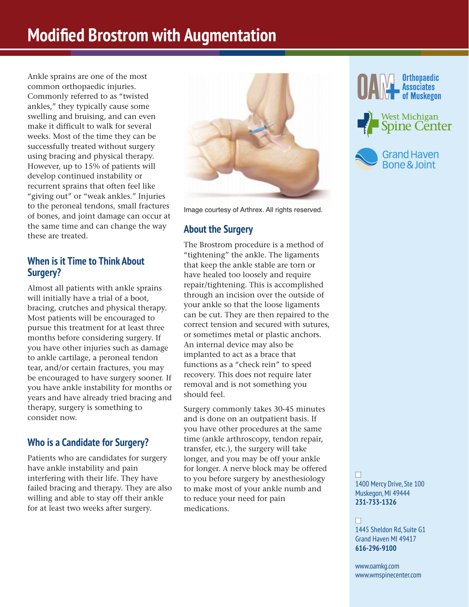# **Modified Brostrom with Augmentation**

Ankle sprains are one of the most common orthopaedic injuries. Commonly referred to as "twisted ankles," they typically cause some swelling and bruising, and can even make it difficult to walk for several weeks. Most of the time they can be successfully treated without surgery using bracing and physical therapy. However, up to 15% of patients will develop continued instability or recurrent sprains that often feel like "giving out" or "weak ankles." Injuries to the peroneal tendons, small fractures of bones, and joint damage can occur at the same time and can change the way these are treated.

## **When is it Time to Think About Surgery?**

Almost all patients with ankle sprains will initially have a trial of a boot, bracing, crutches and physical therapy. Most patients will be encouraged to pursue this treatment for at least three months before considering surgery. If you have other injuries such as damage to ankle cartilage, a peroneal tendon tear, and/or certain fractures, you may be encouraged to have surgery sooner. If you have ankle instability for months or years and have already tried bracing and therapy, surgery is something to consider now.

## **Who is a Candidate for Surgery?**

Patients who are candidates for surgery have ankle instability and pain interfering with their life. They have failed bracing and therapy. They are also willing and able to stay off their ankle for at least two weeks after surgery.



Image courtesy of Arthrex. All rights reserved.

## **About the Surgery**

The Brostrom procedure is a method of "tightening" the ankle. The ligaments that keep the ankle stable are torn or have healed too loosely and require repair/tightening. This is accomplished through an incision over the outside of your ankle so that the loose ligaments can be cut. They are then repaired to the correct tension and secured with sutures, or sometimes metal or plastic anchors. An internal device may also be implanted to act as a brace that functions as a "check rein" to speed recovery. This does not require later removal and is not something you should feel.

Surgery commonly takes 30-45 minutes and is done on an outpatient basis. If you have other procedures at the same time (ankle arthroscopy, tendon repair, transfer, etc.), the surgery will take longer, and you may be off your ankle for longer. A nerve block may be offered to you before surgery by anesthesiology to make most of your ankle numb and to reduce your need for pain medications.







n 1400 Mercy Drive, Ste 100 Muskegon, MI 49444 **231-733-1326**

#### n

1445 Sheldon Rd, Suite G1 Grand Haven MI 49417 **616-296-9100**

www.oamkg.com www.wmspinecenter.com